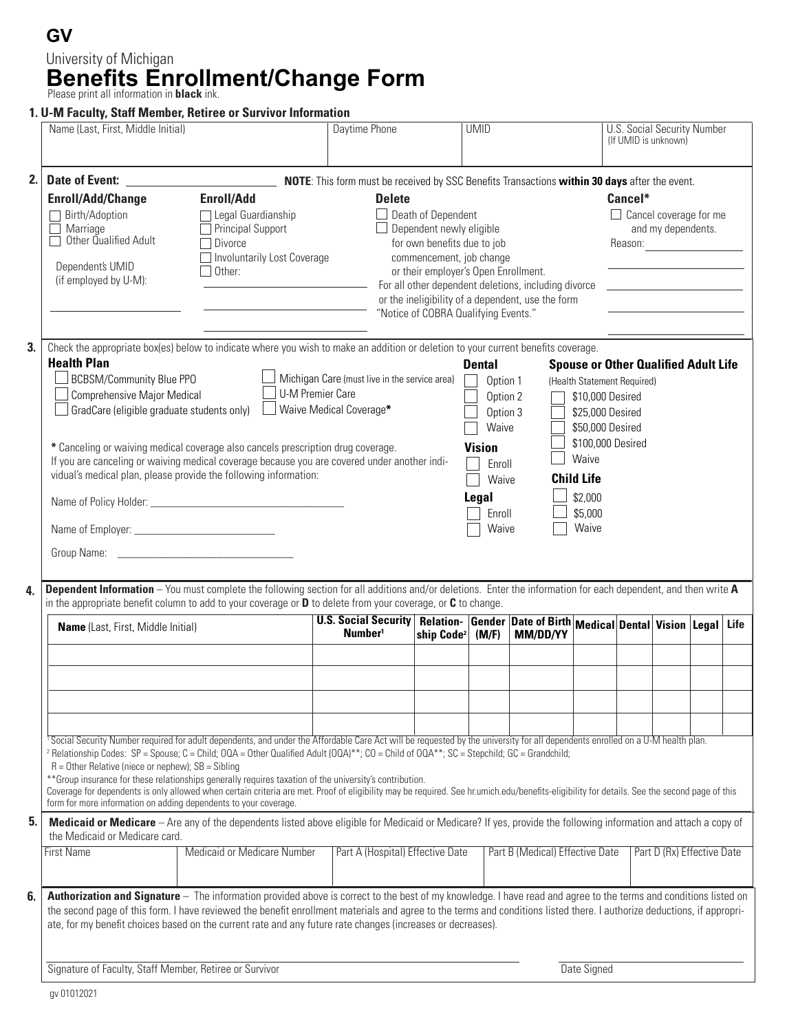## **GV Benefits Enrollment/Change Form** Please print all information in **black** ink. University of Michigan

### **1. U-M Faculty, Staff Member, Retiree or Survivor Information**

|                                                                                                                                                                                                                                                                                                                                                                                                                                                                                                                                                                                                                                                                                                                                                                                           | Name (Last, First, Middle Initial)                                                                                                                                                                                                                                                                                                                                                                                                                                                                                                                                                                                                                                                                                                                                                                                                                                                                                                                                                                                                                                                                                                                                                                                                                                                               |                                    |                                                    | Daytime Phone |                                                                                             | <b>UMID</b>                                                                                                                                                                                                           |                                                                             |  | <b>U.S. Social Security Number</b><br>(If UMID is unknown)                |                            |  |  |
|-------------------------------------------------------------------------------------------------------------------------------------------------------------------------------------------------------------------------------------------------------------------------------------------------------------------------------------------------------------------------------------------------------------------------------------------------------------------------------------------------------------------------------------------------------------------------------------------------------------------------------------------------------------------------------------------------------------------------------------------------------------------------------------------|--------------------------------------------------------------------------------------------------------------------------------------------------------------------------------------------------------------------------------------------------------------------------------------------------------------------------------------------------------------------------------------------------------------------------------------------------------------------------------------------------------------------------------------------------------------------------------------------------------------------------------------------------------------------------------------------------------------------------------------------------------------------------------------------------------------------------------------------------------------------------------------------------------------------------------------------------------------------------------------------------------------------------------------------------------------------------------------------------------------------------------------------------------------------------------------------------------------------------------------------------------------------------------------------------|------------------------------------|----------------------------------------------------|---------------|---------------------------------------------------------------------------------------------|-----------------------------------------------------------------------------------------------------------------------------------------------------------------------------------------------------------------------|-----------------------------------------------------------------------------|--|---------------------------------------------------------------------------|----------------------------|--|--|
| 2.                                                                                                                                                                                                                                                                                                                                                                                                                                                                                                                                                                                                                                                                                                                                                                                        | <b>Enroll/Add/Change</b><br><b>Enroll/Add</b><br>Birth/Adoption<br>□ Legal Guardianship<br>Principal Support<br>Marriage<br>Other Qualified Adult<br>$\Box$ Divorce<br>Involuntarily Lost Coverage<br>Dependent's UMID<br>$\Box$ Other:<br>(if employed by U-M):                                                                                                                                                                                                                                                                                                                                                                                                                                                                                                                                                                                                                                                                                                                                                                                                                                                                                                                                                                                                                                 |                                    |                                                    | <b>Delete</b> | $\Box$ Death of Dependent<br>$\Box$ Dependent newly eligible<br>for own benefits due to job | commencement, job change<br>or their employer's Open Enrollment.<br>For all other dependent deletions, including divorce<br>or the ineligibility of a dependent, use the form<br>"Notice of COBRA Qualifying Events." |                                                                             |  | Cancel*<br>$\Box$ Cancel coverage for me<br>and my dependents.<br>Reason: |                            |  |  |
| 3.<br>4.                                                                                                                                                                                                                                                                                                                                                                                                                                                                                                                                                                                                                                                                                                                                                                                  | Check the appropriate box(es) below to indicate where you wish to make an addition or deletion to your current benefits coverage.<br><b>Health Plan</b><br><b>Dental</b><br><b>Spouse or Other Qualified Adult Life</b><br>BCBSM/Community Blue PPO<br>Michigan Care (must live in the service area)<br>(Health Statement Required)<br>Option 1<br><b>U-M Premier Care</b><br>Comprehensive Major Medical<br>Option 2<br>\$10,000 Desired<br>GradCare (eligible graduate students only)<br>Waive Medical Coverage*<br>Option 3<br>\$25,000 Desired<br>Waive<br>\$50,000 Desired<br>\$100,000 Desired<br>* Canceling or waiving medical coverage also cancels prescription drug coverage.<br><b>Vision</b><br>Waive<br>If you are canceling or waiving medical coverage because you are covered under another indi-<br>Enroll<br>vidual's medical plan, please provide the following information:<br><b>Child Life</b><br>Waive<br>\$2,000<br>Legal<br>\$5,000<br>Enroll<br>Waive<br>Waive<br><b>Dependent Information</b> - You must complete the following section for all additions and/or deletions. Enter the information for each dependent, and then write A<br>in the appropriate benefit column to add to your coverage or <b>D</b> to delete from your coverage, or <b>C</b> to change. |                                    |                                                    |               |                                                                                             |                                                                                                                                                                                                                       |                                                                             |  |                                                                           |                            |  |  |
|                                                                                                                                                                                                                                                                                                                                                                                                                                                                                                                                                                                                                                                                                                                                                                                           | Name (Last, First, Middle Initial)                                                                                                                                                                                                                                                                                                                                                                                                                                                                                                                                                                                                                                                                                                                                                                                                                                                                                                                                                                                                                                                                                                                                                                                                                                                               |                                    | <b>U.S. Social Security</b><br>Number <sup>1</sup> |               | ship Code <sup>2</sup> (M/F)                                                                |                                                                                                                                                                                                                       | Relation- Gender Date of Birth Medical Dental Vision Legal Life<br>MM/DD/YY |  |                                                                           |                            |  |  |
| <sup>1</sup> Social Security Number required for adult dependents, and under the Affordable Care Act will be requested by the university for all dependents enrolled on a U-M health plan.<br><sup>2</sup> Relationship Codes: SP = Spouse; C = Child; OQA = Other Qualified Adult (OQA)**; CO = Child of OQA**; SC = Stepchild; GC = Grandchild;<br>$R =$ Other Relative (niece or nephew); $SB =$ Sibling<br>**Group insurance for these relationships generally requires taxation of the university's contribution.<br>Coverage for dependents is only allowed when certain criteria are met. Proof of eligibility may be required. See hr.umich.edu/benefits-eligibility for details. See the second page of this<br>form for more information on adding dependents to your coverage. |                                                                                                                                                                                                                                                                                                                                                                                                                                                                                                                                                                                                                                                                                                                                                                                                                                                                                                                                                                                                                                                                                                                                                                                                                                                                                                  |                                    |                                                    |               |                                                                                             |                                                                                                                                                                                                                       |                                                                             |  |                                                                           |                            |  |  |
| 5.                                                                                                                                                                                                                                                                                                                                                                                                                                                                                                                                                                                                                                                                                                                                                                                        | Medicaid or Medicare - Are any of the dependents listed above eligible for Medicaid or Medicare? If yes, provide the following information and attach a copy of<br>the Medicaid or Medicare card.<br><b>First Name</b>                                                                                                                                                                                                                                                                                                                                                                                                                                                                                                                                                                                                                                                                                                                                                                                                                                                                                                                                                                                                                                                                           | <b>Medicaid or Medicare Number</b> |                                                    |               | Part A (Hospital) Effective Date                                                            |                                                                                                                                                                                                                       | Part B (Medical) Effective Date                                             |  |                                                                           | Part D (Rx) Effective Date |  |  |
| 6.                                                                                                                                                                                                                                                                                                                                                                                                                                                                                                                                                                                                                                                                                                                                                                                        | Authorization and Signature - The information provided above is correct to the best of my knowledge. I have read and agree to the terms and conditions listed on<br>the second page of this form. I have reviewed the benefit enrollment materials and agree to the terms and conditions listed there. I authorize deductions, if appropri-<br>ate, for my benefit choices based on the current rate and any future rate changes (increases or decreases).                                                                                                                                                                                                                                                                                                                                                                                                                                                                                                                                                                                                                                                                                                                                                                                                                                       |                                    |                                                    |               |                                                                                             |                                                                                                                                                                                                                       |                                                                             |  |                                                                           |                            |  |  |
|                                                                                                                                                                                                                                                                                                                                                                                                                                                                                                                                                                                                                                                                                                                                                                                           | Signature of Faculty, Staff Member, Retiree or Survivor                                                                                                                                                                                                                                                                                                                                                                                                                                                                                                                                                                                                                                                                                                                                                                                                                                                                                                                                                                                                                                                                                                                                                                                                                                          |                                    | Date Signed                                        |               |                                                                                             |                                                                                                                                                                                                                       |                                                                             |  |                                                                           |                            |  |  |